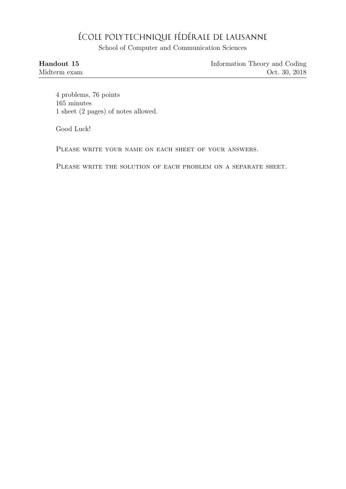## ÉCOLE POLYTECHNIQUE FÉDÉRALE DE LAUSANNE

School of Computer and Communication Sciences

| Handout 15   | Information Theory and Coding |
|--------------|-------------------------------|
| Midterm exam | Oct. 30, 2018                 |

4 problems, 76 points 165 minutes 1 sheet (2 pages) of notes allowed.

Good Luck!

PLEASE WRITE YOUR NAME ON EACH SHEET OF YOUR ANSWERS.

PLEASE WRITE THE SOLUTION OF EACH PROBLEM ON A SEPARATE SHEET.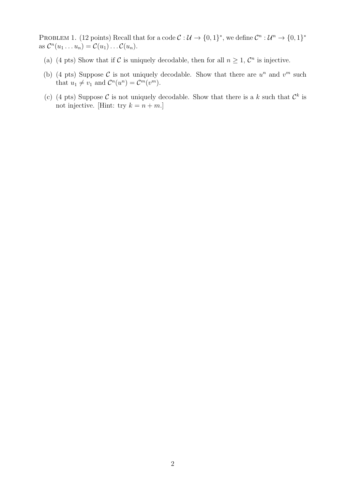PROBLEM 1. (12 points) Recall that for a code  $\mathcal{C}: \mathcal{U} \to \{0,1\}^*$ , we define  $\mathcal{C}^n: \mathcal{U}^n \to \{0,1\}^*$ as  $\mathcal{C}^n(u_1 \ldots u_n) = \mathcal{C}(u_1) \ldots \mathcal{C}(u_n)$ .

- (a) (4 pts) Show that if C is uniquely decodable, then for all  $n \geq 1$ ,  $\mathcal{C}^n$  is injective.
- (b) (4 pts) Suppose C is not uniquely decodable. Show that there are  $u^n$  and  $v^m$  such that  $u_1 \neq v_1$  and  $\mathcal{C}^n(u^n) = \mathcal{C}^m(v^m)$ .
- (c) (4 pts) Suppose C is not uniquely decodable. Show that there is a k such that  $\mathcal{C}^k$  is not injective. [Hint: try  $k = n + m$ .]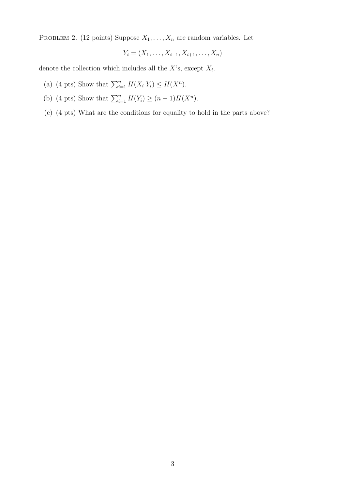PROBLEM 2. (12 points) Suppose  $X_1, \ldots, X_n$  are random variables. Let

$$
Y_i = (X_1, \ldots, X_{i-1}, X_{i+1}, \ldots, X_n)
$$

denote the collection which includes all the  $X$ 's, except  $X_i$ .

- (a) (4 pts) Show that  $\sum_{i=1}^{n} H(X_i|Y_i) \leq H(X^n)$ .
- (b) (4 pts) Show that  $\sum_{i=1}^{n} H(Y_i) \ge (n-1)H(X^n)$ .
- (c) (4 pts) What are the conditions for equality to hold in the parts above?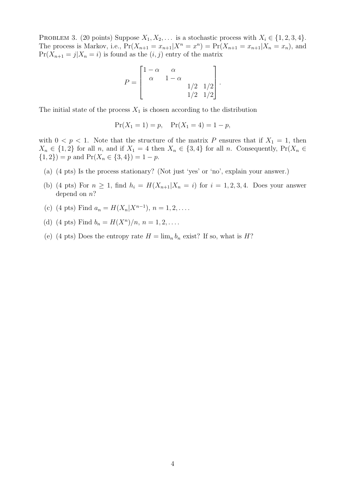PROBLEM 3. (20 points) Suppose  $X_1, X_2, \ldots$  is a stochastic process with  $X_i \in \{1, 2, 3, 4\}.$ The process is Markov, i.e.,  $Pr(X_{n+1} = x_{n+1} | X^n = x^n) = Pr(X_{n+1} = x_{n+1} | X_n = x_n)$ , and  $Pr(X_{n+1} = j | X_n = i)$  is found as the  $(i, j)$  entry of the matrix

$$
P = \begin{bmatrix} 1 - \alpha & \alpha & & \\ \alpha & 1 - \alpha & & \\ & & 1/2 & 1/2 \\ & & & 1/2 & 1/2 \end{bmatrix}.
$$

The initial state of the process  $X_1$  is chosen according to the distribution

$$
\Pr(X_1 = 1) = p, \quad \Pr(X_1 = 4) = 1 - p,
$$

with  $0 < p < 1$ . Note that the structure of the matrix P ensures that if  $X_1 = 1$ , then  $X_n \in \{1,2\}$  for all n, and if  $X_1 = 4$  then  $X_n \in \{3,4\}$  for all n. Consequently,  $Pr(X_n \in \{1,2\})$  ${1, 2}$ ) = p and Pr( $X_n \in {3, 4}$ ) = 1 – p.

- (a) (4 pts) Is the process stationary? (Not just 'yes' or 'no', explain your answer.)
- (b) (4 pts) For  $n \geq 1$ , find  $h_i = H(X_{n+1}|X_n = i)$  for  $i = 1, 2, 3, 4$ . Does your answer depend on n?
- (c) (4 pts) Find  $a_n = H(X_n | X^{n-1}), n = 1, 2, \ldots$
- (d) (4 pts) Find  $b_n = H(X^n)/n, n = 1, 2, \ldots$ .
- (e) (4 pts) Does the entropy rate  $H = \lim_{n} b_n$  exist? If so, what is H?